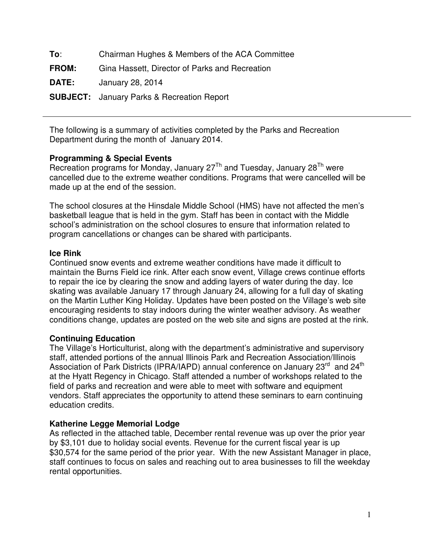| To:          | Chairman Hughes & Members of the ACA Committee    |
|--------------|---------------------------------------------------|
| <b>FROM:</b> | Gina Hassett, Director of Parks and Recreation    |
| <b>DATE:</b> | January 28, 2014                                  |
|              | <b>SUBJECT:</b> January Parks & Recreation Report |

The following is a summary of activities completed by the Parks and Recreation Department during the month of January 2014.

### **Programming & Special Events**

Recreation programs for Monday, January  $27<sup>Th</sup>$  and Tuesday, January  $28<sup>Th</sup>$  were cancelled due to the extreme weather conditions. Programs that were cancelled will be made up at the end of the session.

The school closures at the Hinsdale Middle School (HMS) have not affected the men's basketball league that is held in the gym. Staff has been in contact with the Middle school's administration on the school closures to ensure that information related to program cancellations or changes can be shared with participants.

### **Ice Rink**

Continued snow events and extreme weather conditions have made it difficult to maintain the Burns Field ice rink. After each snow event, Village crews continue efforts to repair the ice by clearing the snow and adding layers of water during the day. Ice skating was available January 17 through January 24, allowing for a full day of skating on the Martin Luther King Holiday. Updates have been posted on the Village's web site encouraging residents to stay indoors during the winter weather advisory. As weather conditions change, updates are posted on the web site and signs are posted at the rink.

# **Continuing Education**

The Village's Horticulturist, along with the department's administrative and supervisory staff, attended portions of the annual Illinois Park and Recreation Association/Illinois Association of Park Districts (IPRA/IAPD) annual conference on January 23<sup>rd</sup> and 24<sup>th</sup> at the Hyatt Regency in Chicago. Staff attended a number of workshops related to the field of parks and recreation and were able to meet with software and equipment vendors. Staff appreciates the opportunity to attend these seminars to earn continuing education credits.

# **Katherine Legge Memorial Lodge**

As reflected in the attached table, December rental revenue was up over the prior year by \$3,101 due to holiday social events. Revenue for the current fiscal year is up \$30,574 for the same period of the prior year. With the new Assistant Manager in place, staff continues to focus on sales and reaching out to area businesses to fill the weekday rental opportunities.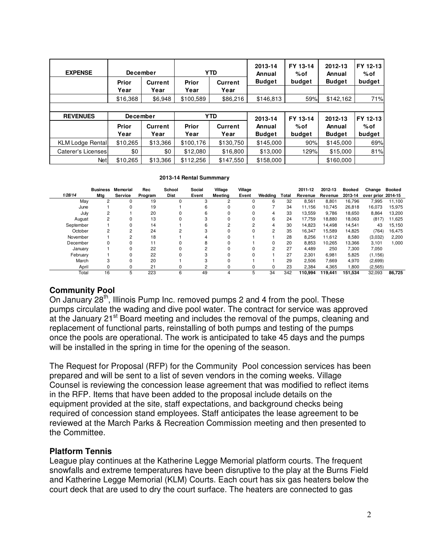| <b>EXPENSE</b>          | <b>December</b> |                        |               | <b>YTD</b>             | 2013-14<br>Annual | FY 13-14<br>%of | 2012-13<br>Annual | FY 12-13<br>%of |  |
|-------------------------|-----------------|------------------------|---------------|------------------------|-------------------|-----------------|-------------------|-----------------|--|
|                         | Prior<br>Year   | <b>Current</b><br>Year | Prior<br>Year | <b>Current</b><br>Year | <b>Budget</b>     | budget          | <b>Budget</b>     | budget          |  |
|                         | \$16,368        | \$6,948                | \$100,589     | \$86,216               | \$146,813         | 59%             | \$142,162         | 71%             |  |
|                         |                 |                        |               |                        |                   |                 |                   |                 |  |
|                         |                 |                        |               |                        |                   |                 |                   |                 |  |
| <b>REVENUES</b>         | December        |                        |               | <b>YTD</b>             | 2013-14           | FY 13-14        | 2012-13           | FY 12-13        |  |
|                         | Prior           | <b>Current</b>         | Prior         | <b>Current</b>         | Annual            | $%$ of          | Annual            | %of             |  |
|                         | Year            | Year                   | Year          | Year                   | <b>Budget</b>     | budget          | <b>Budget</b>     | budget          |  |
| <b>KLM Lodge Rental</b> | \$10,265        | \$13,366               | \$100,176     | \$130,750              | \$145,000         | 90%             | \$145,000         |                 |  |
| Caterer's Licenses      | \$0             | \$0                    | \$12,080      | \$16,800               | \$13,000          | 129%            | \$15,000          | 69%<br>81%      |  |

#### **2013-14 Rental Summmary**

|           | <b>Business</b> | <b>Memorial</b> | Rec     | School         | Social | Village        | Village |         |       | 2011-12 | 2012-13 | Booked  | Change             | <b>Booked</b> |
|-----------|-----------------|-----------------|---------|----------------|--------|----------------|---------|---------|-------|---------|---------|---------|--------------------|---------------|
| 1/28/14   | Mta             | Service         | Program | <b>Dist</b>    | Event  | Meeting        | Event   | Wedding | Total | Revenue | Revenue | 2013-14 | over prior 2014-15 |               |
| May       | 2               |                 | 19      |                |        | $\overline{2}$ |         | 6       | 32    | 8,561   | 8,801   | 16.796  | 7,995              | 11,100        |
| June      |                 |                 | 19      |                | 6      | 0              |         |         | 34    | 11.156  | 10.745  | 26,818  | 16,073             | 15,975        |
| July      | 2               |                 | 20      |                | 6      |                |         | 4       | 33    | 13,559  | 9,786   | 18,650  | 8,864              | 13,200        |
| August    | 2               |                 | 13      | 0              | з      |                |         | 6       | 24    | 17.759  | 18.880  | 18.063  | (817)              | 11,625        |
| September |                 |                 | 14      |                | 6      | 2              |         | 4       | 30    | 14.823  | 14,498  | 14,541  | 43                 | 15,150        |
| October   | 2               | $\overline{2}$  | 24      | $\overline{2}$ |        |                |         | 2       | 35    | 16.347  | 15,589  | 14,825  | (764)              | 16,475        |
| November  |                 | $\sim$          | 18      |                |        | $\Omega$       |         |         | 28    | 8,256   | 11,612  | 8,580   | (3,032)            | 2,200         |
| December  | 0               |                 | 11      |                | 8      |                |         |         | 20    | 8.853   | 10.265  | 13,366  | 3,101              | 1.000         |
| January   |                 |                 | 22      |                | C      | $\Omega$       |         | 2       | 27    | 4.489   | 250     | 7,300   | 7,050              |               |
| February  |                 |                 | 22      | 0              |        |                |         |         | 27    | 2,301   | 6,981   | 5,825   | (1, 156)           |               |
| March     | 3               |                 | 20      |                |        | $\Omega$       |         |         | 29    | 2.506   | 7,669   | 4,970   | (2,699)            |               |
| April     | 0               | 0               | 21      | 0              |        |                |         | 0       | 23    | 2.384   | 4,365   | 1,800   | (2, 565)           |               |
| Total     | 16              |                 | 223     | 6              | 49     | 4              | 5       | 34      | 342   | 110,994 | 119,441 | 151,534 | 32,093             | 86,725        |

# **Community Pool**

On January 28<sup>th</sup>, Illinois Pump Inc. removed pumps 2 and 4 from the pool. These pumps circulate the wading and dive pool water. The contract for service was approved at the January 21<sup>st</sup> Board meeting and includes the removal of the pumps, cleaning and replacement of functional parts, reinstalling of both pumps and testing of the pumps once the pools are operational. The work is anticipated to take 45 days and the pumps will be installed in the spring in time for the opening of the season.

The Request for Proposal (RFP) for the Community Pool concession services has been prepared and will be sent to a list of seven vendors in the coming weeks. Village Counsel is reviewing the concession lease agreement that was modified to reflect items in the RFP. Items that have been added to the proposal include details on the equipment provided at the site, staff expectations, and background checks being required of concession stand employees. Staff anticipates the lease agreement to be reviewed at the March Parks & Recreation Commission meeting and then presented to the Committee.

### **Platform Tennis**

League play continues at the Katherine Legge Memorial platform courts. The frequent snowfalls and extreme temperatures have been disruptive to the play at the Burns Field and Katherine Legge Memorial (KLM) Courts. Each court has six gas heaters below the court deck that are used to dry the court surface. The heaters are connected to gas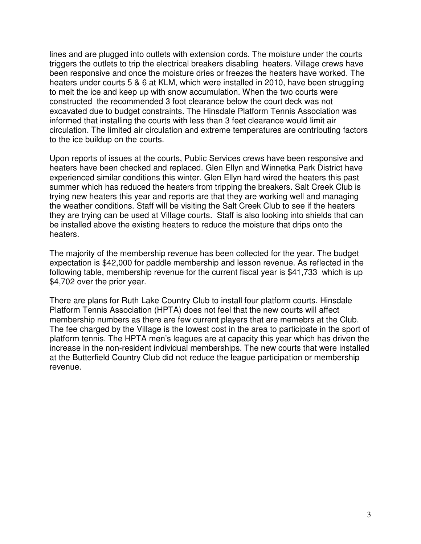lines and are plugged into outlets with extension cords. The moisture under the courts triggers the outlets to trip the electrical breakers disabling heaters. Village crews have been responsive and once the moisture dries or freezes the heaters have worked. The heaters under courts 5 & 6 at KLM, which were installed in 2010, have been struggling to melt the ice and keep up with snow accumulation. When the two courts were constructed the recommended 3 foot clearance below the court deck was not excavated due to budget constraints. The Hinsdale Platform Tennis Association was informed that installing the courts with less than 3 feet clearance would limit air circulation. The limited air circulation and extreme temperatures are contributing factors to the ice buildup on the courts.

Upon reports of issues at the courts, Public Services crews have been responsive and heaters have been checked and replaced. Glen Ellyn and Winnetka Park District have experienced similar conditions this winter. Glen Ellyn hard wired the heaters this past summer which has reduced the heaters from tripping the breakers. Salt Creek Club is trying new heaters this year and reports are that they are working well and managing the weather conditions. Staff will be visiting the Salt Creek Club to see if the heaters they are trying can be used at Village courts. Staff is also looking into shields that can be installed above the existing heaters to reduce the moisture that drips onto the heaters.

The majority of the membership revenue has been collected for the year. The budget expectation is \$42,000 for paddle membership and lesson revenue. As reflected in the following table, membership revenue for the current fiscal year is \$41,733 which is up \$4,702 over the prior year.

There are plans for Ruth Lake Country Club to install four platform courts. Hinsdale Platform Tennis Association (HPTA) does not feel that the new courts will affect membership numbers as there are few current players that are memebrs at the Club. The fee charged by the Village is the lowest cost in the area to participate in the sport of platform tennis. The HPTA men's leagues are at capacity this year which has driven the increase in the non-resident individual memberships. The new courts that were installed at the Butterfield Country Club did not reduce the league participation or membership revenue.